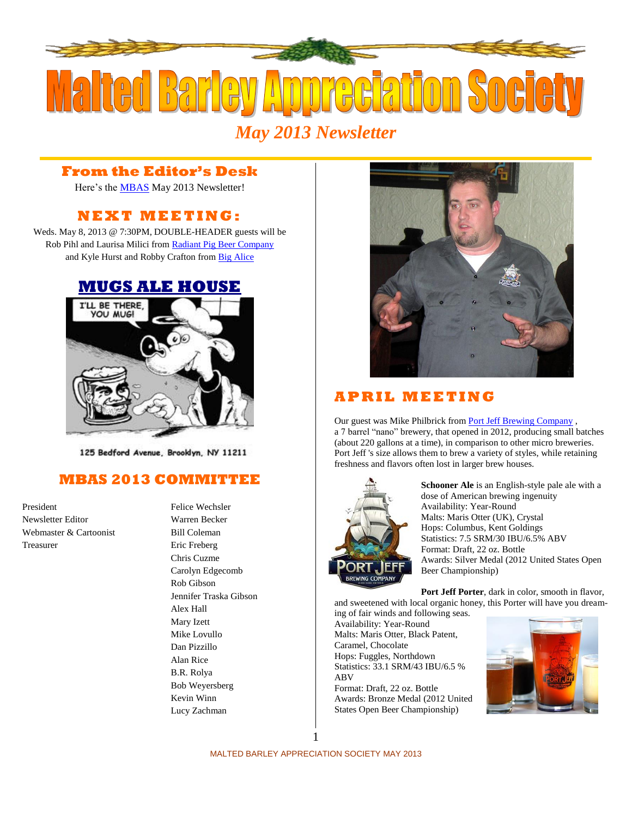

**From the Editor's Desk**

Here's the **MBAS** May 2013 Newsletter!

# **N E X T M E ETI N G :**

Weds. May 8, 2013 @ 7:30PM, DOUBLE-HEADER guests will be Rob Pihl and Laurisa Milici fro[m Radiant Pig Beer Company](http://radiantpigbeer.com/) and Kyle Hurst and Robby Crafton fro[m Big Alice](http://www.bigalicebrewing.com/)

#### **[MUGS ALE HOUSE](http://www.mugsalehouse.com/)**



125 Bedford Avenue, Brooklyn, NY 11211

## **MBAS 2013 COMMITTEE**

Newsletter Editor Warren Becker Webmaster & Cartoonist Bill Coleman Treasurer Eric Freberg

President Felice Wechsler Chris Cuzme Carolyn Edgecomb Rob Gibson Jennifer Traska Gibson Alex Hall Mary Izett Mike Lovullo Dan Pizzillo Alan Rice B.R. Rolya Bob Weyersberg Kevin Winn Lucy Zachman



### **A P R I L M E E T I N G**

Our guest was Mike Philbrick from [Port Jeff Brewing Company](http://www.portjeffbrewing.com/), a 7 barrel "nano" brewery, that opened in 2012, producing small batches (about 220 gallons at a time), in comparison to other micro breweries. Port Jeff 's size allows them to brew a variety of styles, while retaining freshness and flavors often lost in larger brew houses.



**Schooner Ale** is an English-style pale ale with a dose of American brewing ingenuity Availability: Year-Round Malts: Maris Otter (UK), Crystal Hops: Columbus, Kent Goldings Statistics: 7.5 SRM/30 IBU/6.5% ABV Format: Draft, 22 oz. Bottle Awards: Silver Medal (2012 United States Open Beer Championship)

**Port Jeff Porter**, dark in color, smooth in flavor, and sweetened with local organic honey, this Porter will have you dream-

ing of fair winds and following seas. Availability: Year-Round Malts: Maris Otter, Black Patent, Caramel, Chocolate Hops: Fuggles, Northdown Statistics: 33.1 SRM/43 IBU/6.5 % ABV Format: Draft, 22 oz. Bottle Awards: Bronze Medal (2012 United

States Open Beer Championship)

MALTED BARLEY APPRECIATION SOCIETY MAY 2013

1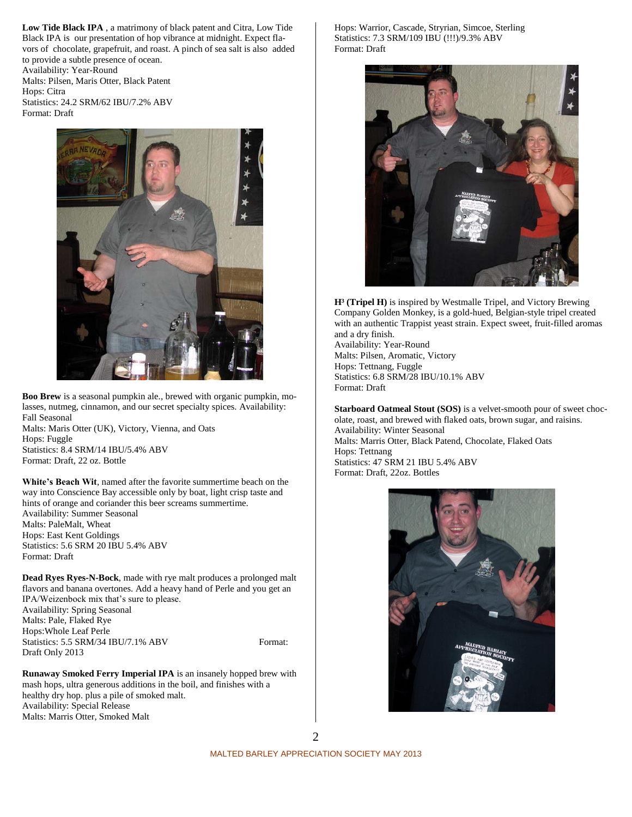**Low Tide Black IPA** , a matrimony of black patent and Citra, Low Tide Black IPA is our presentation of hop vibrance at midnight. Expect flavors of chocolate, grapefruit, and roast. A pinch of sea salt is also added to provide a subtle presence of ocean.

Availability: Year-Round Malts: Pilsen, Maris Otter, Black Patent Hops: Citra Statistics: 24.2 SRM/62 IBU/7.2% ABV Format: Draft



**Boo Brew** is a seasonal pumpkin ale., brewed with organic pumpkin, molasses, nutmeg, cinnamon, and our secret specialty spices. Availability: Fall Seasonal

Malts: Maris Otter (UK), Victory, Vienna, and Oats Hops: Fuggle Statistics: 8.4 SRM/14 IBU/5.4% ABV Format: Draft, 22 oz. Bottle

**White's Beach Wit**, named after the favorite summertime beach on the way into Conscience Bay accessible only by boat, light crisp taste and hints of orange and coriander this beer screams summertime. Availability: Summer Seasonal Malts: PaleMalt, Wheat Hops: East Kent Goldings Statistics: 5.6 SRM 20 IBU 5.4% ABV Format: Draft

**Dead Ryes Ryes-N-Bock**, made with rye malt produces a prolonged malt flavors and banana overtones. Add a heavy hand of Perle and you get an IPA/Weizenbock mix that's sure to please. Availability: Spring Seasonal Malts: Pale, Flaked Rye Hops:Whole Leaf Perle Statistics: 5.5 SRM/34 IBU/7.1% ABV Format: Draft Only 2013

**Runaway Smoked Ferry Imperial IPA** is an insanely hopped brew with mash hops, ultra generous additions in the boil, and finishes with a healthy dry hop. plus a pile of smoked malt. Availability: Special Release Malts: Marris Otter, Smoked Malt

Hops: Warrior, Cascade, Stryrian, Simcoe, Sterling Statistics: 7.3 SRM/109 IBU (!!!)/9.3% ABV Format: Draft



**H³ (Tripel H)** is inspired by Westmalle Tripel, and Victory Brewing Company Golden Monkey, is a gold-hued, Belgian-style tripel created with an authentic Trappist yeast strain. Expect sweet, fruit-filled aromas and a dry finish.

Availability: Year-Round Malts: Pilsen, Aromatic, Victory Hops: Tettnang, Fuggle Statistics: 6.8 SRM/28 IBU/10.1% ABV Format: Draft

**Starboard Oatmeal Stout (SOS)** is a velvet-smooth pour of sweet chocolate, roast, and brewed with flaked oats, brown sugar, and raisins. Availability: Winter Seasonal Malts: Marris Otter, Black Patend, Chocolate, Flaked Oats Hops: Tettnang Statistics: 47 SRM 21 IBU 5.4% ABV Format: Draft, 22oz. Bottles